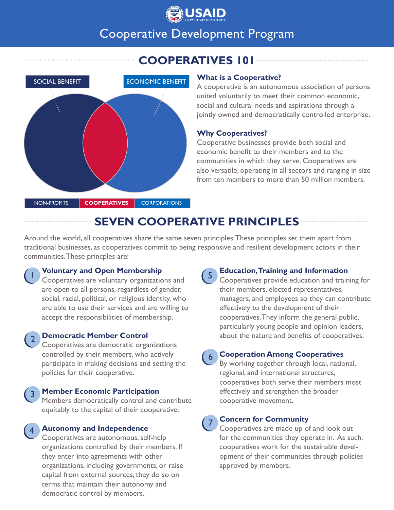

# Cooperative Development Program

**COOPERATIVES 101**



### **What is a Cooperative?**

A cooperative is an autonomous association of persons united voluntarily to meet their common economic, social and cultural needs and aspirations through a jointly owned and democratically controlled enterprise.

# **Why Cooperatives?**

Cooperative businesses provide both social and economic benefit to their members and to the communities in which they serve. Cooperatives are also versatile, operating in all sectors and ranging in size from ten members to more than 50 million members.

# **SEVEN COOPERATIVE PRINCIPLES**

Around the world, all cooperatives share the same seven principles. These principles set them apart from traditional businesses, as cooperatives commit to being responsive and resilient development actors in their communities. These princples are:



# **Voluntary and Open Membership**

Cooperatives are voluntary organizations and are open to all persons, regardless of gender, social, racial, political, or religious identity, who are able to use their services and are willing to accept the responsibilities of membership.

2

3

4

# **Democratic Member Control**

Cooperatives are democratic organizations controlled by their members, who actively participate in making decisions and setting the policies for their cooperative.

### **Member Economic Participation**

Members democratically control and contribute equitably to the capital of their cooperative.

### **Autonomy and Independence**

Cooperatives are autonomous, self-help organizations controlled by their members. If they enter into agreements with other organizations, including governments, or raise capital from external sources, they do so on terms that maintain their autonomy and democratic control by members.

#### 5 **Education, Training and Information** Cooperatives provide education and training for

their members, elected representatives, managers, and employees so they can contribute effectively to the development of their cooperatives. They inform the general public, particularly young people and opinion leaders, about the nature and benefits of cooperatives.

#### 6 **Cooperation Among Cooperatives**

By working together through local, national, regional, and international structures, cooperatives both serve their members most effectively and strengthen the broader cooperative movement.

#### 7 **Concern for Community**

Cooperatives are made up of and look out for the communities they operate in. As such, cooperatives work for the sustainable development of their communities through policies approved by members.